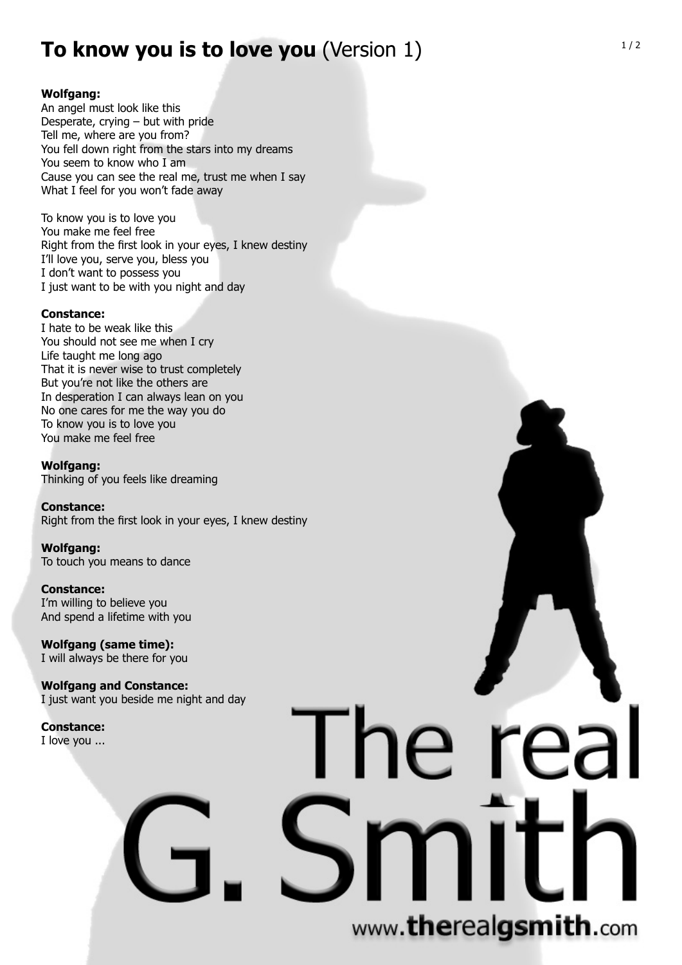## **To know you is to love you** (Version 1)

## **Wolfgang:**

An angel must look like this Desperate, crying – but with pride Tell me, where are you from? You fell down right from the stars into my dreams You seem to know who I am Cause you can see the real me, trust me when I say What I feel for you won't fade away

To know you is to love you You make me feel free Right from the first look in your eyes, I knew destiny I'll love you, serve you, bless you I don't want to possess you I just want to be with you night and day

### **Constance:**

I hate to be weak like this You should not see me when I cry Life taught me long ago That it is never wise to trust completely But you're not like the others are In desperation I can always lean on you No one cares for me the way you do To know you is to love you You make me feel free

**Wolfgang:** Thinking of you feels like dreaming

**Constance:** Right from the first look in your eyes, I knew destiny

**Wolfgang:** To touch you means to dance

**Constance:** I'm willing to believe you And spend a lifetime with you

**Wolfgang (same time):** I will always be there for you

**Wolfgang and Constance:** I just want you beside me night and day

**Constance:** I love you ...

# www.therealgsmith.com